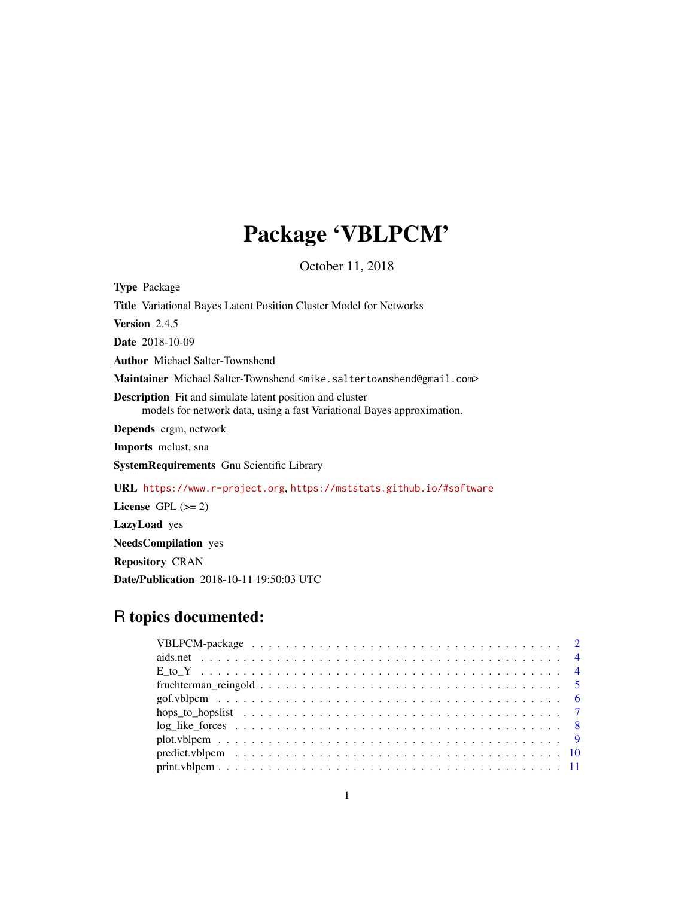# Package 'VBLPCM'

October 11, 2018

<span id="page-0-0"></span>

| <b>Type Package</b>                                                                                                                       |
|-------------------------------------------------------------------------------------------------------------------------------------------|
| <b>Title</b> Variational Bayes Latent Position Cluster Model for Networks                                                                 |
| <b>Version</b> 2.4.5                                                                                                                      |
| <b>Date</b> 2018-10-09                                                                                                                    |
| <b>Author</b> Michael Salter-Townshend                                                                                                    |
| Maintainer Michael Salter-Townshend <mike.saltertownshend@gmail.com></mike.saltertownshend@gmail.com>                                     |
| <b>Description</b> Fit and simulate latent position and cluster<br>models for network data, using a fast Variational Bayes approximation. |
| Depends ergm, network                                                                                                                     |
| <b>Imports</b> melust, sna                                                                                                                |
| <b>SystemRequirements</b> Gnu Scientific Library                                                                                          |
| <b>URL</b> https://www.r-project.org, https://mststats.github.io/#software                                                                |
| License $GPL (= 2)$                                                                                                                       |
| LazyLoad yes                                                                                                                              |
| <b>NeedsCompilation</b> yes                                                                                                               |
| <b>Repository CRAN</b>                                                                                                                    |
| <b>Date/Publication</b> 2018-10-11 19:50:03 UTC                                                                                           |

# R topics documented: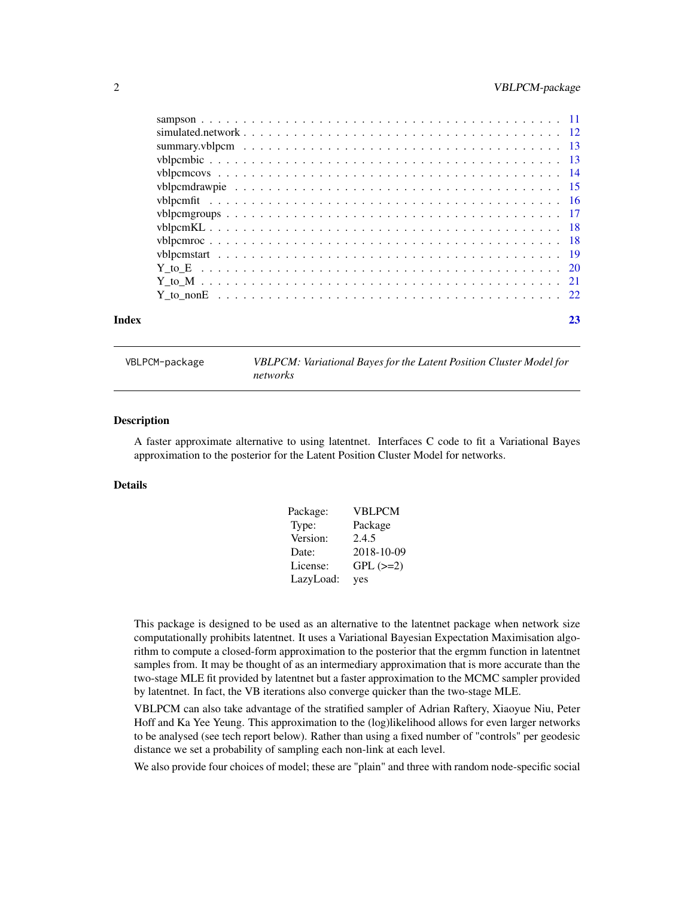<span id="page-1-0"></span>

| Index | 23 |
|-------|----|
|       |    |
|       |    |
|       |    |
|       |    |
|       |    |
|       |    |
|       |    |
|       |    |
|       |    |
|       |    |
|       |    |
|       |    |
|       |    |
|       |    |

VBLPCM-package *VBLPCM: Variational Bayes for the Latent Position Cluster Model for networks*

# Description

A faster approximate alternative to using latentnet. Interfaces C code to fit a Variational Bayes approximation to the posterior for the Latent Position Cluster Model for networks.

# Details

| Package:  | <b>VBLPCM</b> |
|-----------|---------------|
| Type:     | Package       |
| Version:  | 2.4.5         |
| Date:     | 2018-10-09    |
| License:  | $GPL$ $(>=2)$ |
| LazyLoad: | yes           |

This package is designed to be used as an alternative to the latentnet package when network size computationally prohibits latentnet. It uses a Variational Bayesian Expectation Maximisation algorithm to compute a closed-form approximation to the posterior that the ergmm function in latentnet samples from. It may be thought of as an intermediary approximation that is more accurate than the two-stage MLE fit provided by latentnet but a faster approximation to the MCMC sampler provided by latentnet. In fact, the VB iterations also converge quicker than the two-stage MLE.

VBLPCM can also take advantage of the stratified sampler of Adrian Raftery, Xiaoyue Niu, Peter Hoff and Ka Yee Yeung. This approximation to the (log)likelihood allows for even larger networks to be analysed (see tech report below). Rather than using a fixed number of "controls" per geodesic distance we set a probability of sampling each non-link at each level.

We also provide four choices of model; these are "plain" and three with random node-specific social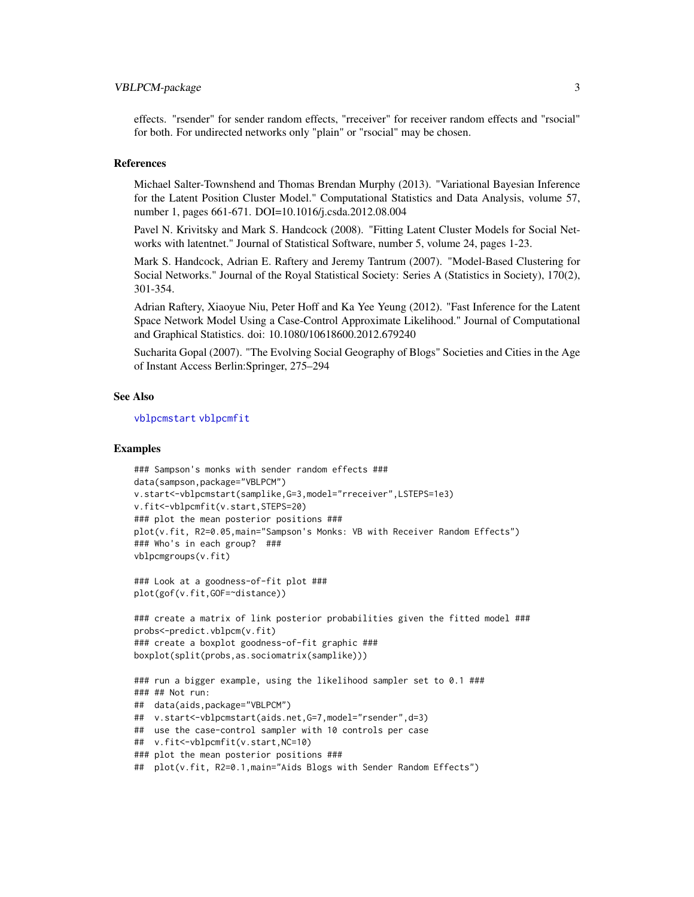#### <span id="page-2-0"></span>VBLPCM-package 3

effects. "rsender" for sender random effects, "rreceiver" for receiver random effects and "rsocial" for both. For undirected networks only "plain" or "rsocial" may be chosen.

#### References

Michael Salter-Townshend and Thomas Brendan Murphy (2013). "Variational Bayesian Inference for the Latent Position Cluster Model." Computational Statistics and Data Analysis, volume 57, number 1, pages 661-671. DOI=10.1016/j.csda.2012.08.004

Pavel N. Krivitsky and Mark S. Handcock (2008). "Fitting Latent Cluster Models for Social Networks with latentnet." Journal of Statistical Software, number 5, volume 24, pages 1-23.

Mark S. Handcock, Adrian E. Raftery and Jeremy Tantrum (2007). "Model-Based Clustering for Social Networks." Journal of the Royal Statistical Society: Series A (Statistics in Society), 170(2), 301-354.

Adrian Raftery, Xiaoyue Niu, Peter Hoff and Ka Yee Yeung (2012). "Fast Inference for the Latent Space Network Model Using a Case-Control Approximate Likelihood." Journal of Computational and Graphical Statistics. doi: 10.1080/10618600.2012.679240

Sucharita Gopal (2007). "The Evolving Social Geography of Blogs" Societies and Cities in the Age of Instant Access Berlin:Springer, 275–294

#### See Also

[vblpcmstart](#page-18-1) [vblpcmfit](#page-15-1)

# Examples

```
### Sampson's monks with sender random effects ###
data(sampson,package="VBLPCM")
v.start<-vblpcmstart(samplike,G=3,model="rreceiver",LSTEPS=1e3)
v.fit<-vblpcmfit(v.start,STEPS=20)
### plot the mean posterior positions ###
plot(v.fit, R2=0.05,main="Sampson's Monks: VB with Receiver Random Effects")
### Who's in each group? ###
vblpcmgroups(v.fit)
### Look at a goodness-of-fit plot ###
plot(gof(v.fit,GOF=~distance))
### create a matrix of link posterior probabilities given the fitted model ###
probs<-predict.vblpcm(v.fit)
### create a boxplot goodness-of-fit graphic ###
```

```
boxplot(split(probs,as.sociomatrix(samplike)))
```

```
### run a bigger example, using the likelihood sampler set to 0.1 ###
### ## Not run:
## data(aids,package="VBLPCM")
## v.start<-vblpcmstart(aids.net,G=7,model="rsender",d=3)
## use the case-control sampler with 10 controls per case
## v.fit<-vblpcmfit(v.start,NC=10)
### plot the mean posterior positions ###
```

```
## plot(v.fit, R2=0.1,main="Aids Blogs with Sender Random Effects")
```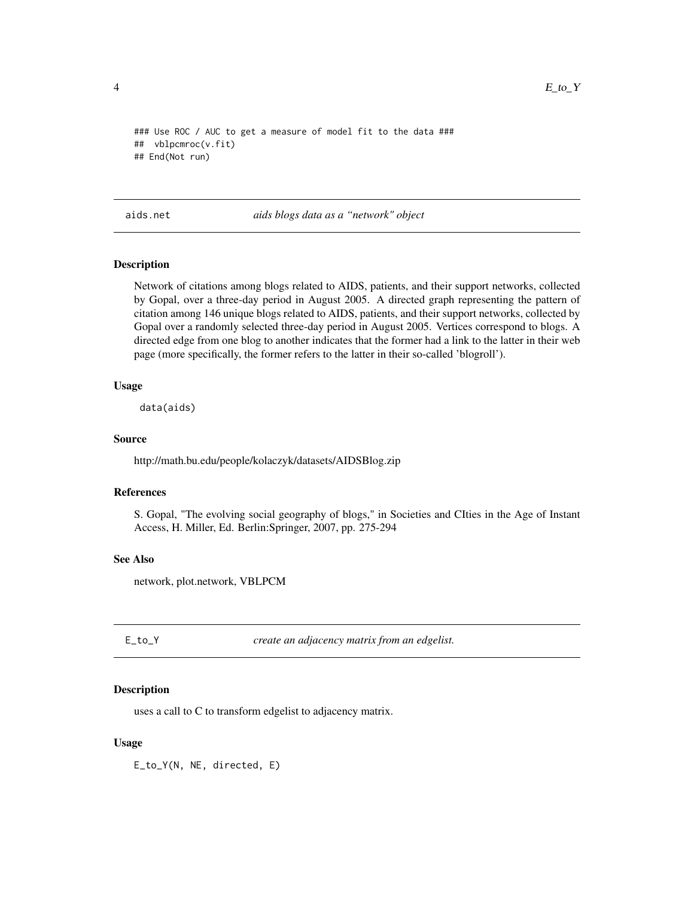```
### Use ROC / AUC to get a measure of model fit to the data ###
## vblpcmroc(v.fit)
## End(Not run)
```
aids.net *aids blogs data as a "network" object*

#### Description

Network of citations among blogs related to AIDS, patients, and their support networks, collected by Gopal, over a three-day period in August 2005. A directed graph representing the pattern of citation among 146 unique blogs related to AIDS, patients, and their support networks, collected by Gopal over a randomly selected three-day period in August 2005. Vertices correspond to blogs. A directed edge from one blog to another indicates that the former had a link to the latter in their web page (more specifically, the former refers to the latter in their so-called 'blogroll').

#### Usage

data(aids)

#### Source

http://math.bu.edu/people/kolaczyk/datasets/AIDSBlog.zip

# References

S. Gopal, "The evolving social geography of blogs," in Societies and CIties in the Age of Instant Access, H. Miller, Ed. Berlin:Springer, 2007, pp. 275-294

#### See Also

network, plot.network, VBLPCM

E\_to\_Y *create an adjacency matrix from an edgelist.*

#### Description

uses a call to C to transform edgelist to adjacency matrix.

#### Usage

E\_to\_Y(N, NE, directed, E)

<span id="page-3-0"></span>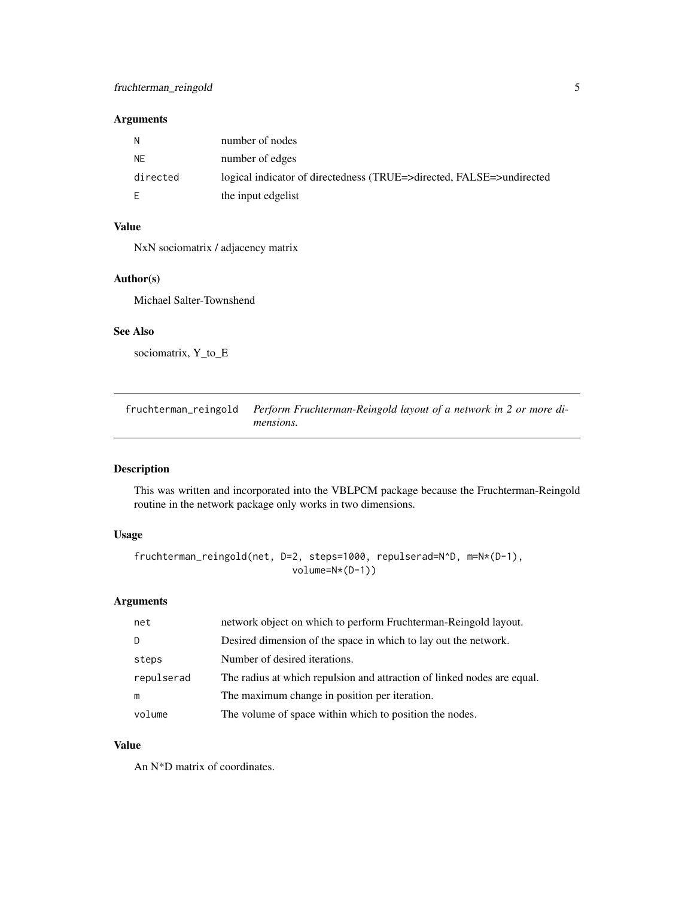# <span id="page-4-0"></span>Arguments

| N         | number of nodes                                                      |
|-----------|----------------------------------------------------------------------|
| <b>NE</b> | number of edges                                                      |
| directed  | logical indicator of directedness (TRUE=>directed, FALSE=>undirected |
|           | the input edgelist                                                   |

# Value

NxN sociomatrix / adjacency matrix

# Author(s)

Michael Salter-Townshend

# See Also

sociomatrix, Y\_to\_E

fruchterman\_reingold *Perform Fruchterman-Reingold layout of a network in 2 or more dimensions.*

# Description

This was written and incorporated into the VBLPCM package because the Fruchterman-Reingold routine in the network package only works in two dimensions.

# Usage

```
fruchterman_reingold(net, D=2, steps=1000, repulserad=N^D, m=N*(D-1),
                            volume=N*(D-1))
```
# Arguments

| net        | network object on which to perform Fruchterman-Reingold layout.         |
|------------|-------------------------------------------------------------------------|
|            | Desired dimension of the space in which to lay out the network.         |
| steps      | Number of desired iterations.                                           |
| repulserad | The radius at which repulsion and attraction of linked nodes are equal. |
| m          | The maximum change in position per iteration.                           |
| volume     | The volume of space within which to position the nodes.                 |

# Value

An N\*D matrix of coordinates.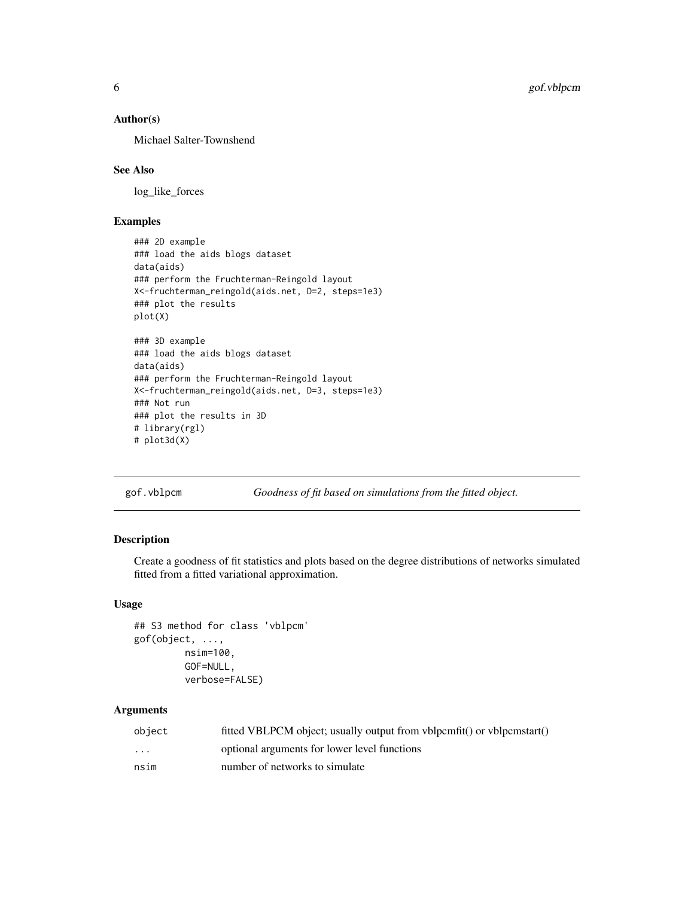# Author(s)

Michael Salter-Townshend

#### See Also

log\_like\_forces

# Examples

```
### 2D example
### load the aids blogs dataset
data(aids)
### perform the Fruchterman-Reingold layout
X<-fruchterman_reingold(aids.net, D=2, steps=1e3)
### plot the results
plot(X)
### 3D example
### load the aids blogs dataset
data(aids)
### perform the Fruchterman-Reingold layout
X<-fruchterman_reingold(aids.net, D=3, steps=1e3)
### Not run
### plot the results in 3D
# library(rgl)
# plot3d(X)
```
gof.vblpcm *Goodness of fit based on simulations from the fitted object.*

# Description

Create a goodness of fit statistics and plots based on the degree distributions of networks simulated fitted from a fitted variational approximation.

# Usage

```
## S3 method for class 'vblpcm'
gof(object, ...,
         nsim=100,
         GOF=NULL,
         verbose=FALSE)
```

| object   | fitted VBLPCM object; usually output from vblpcmfit() or vblpcmstart() |
|----------|------------------------------------------------------------------------|
| $\cdots$ | optional arguments for lower level functions                           |
| nsim     | number of networks to simulate                                         |

<span id="page-5-0"></span>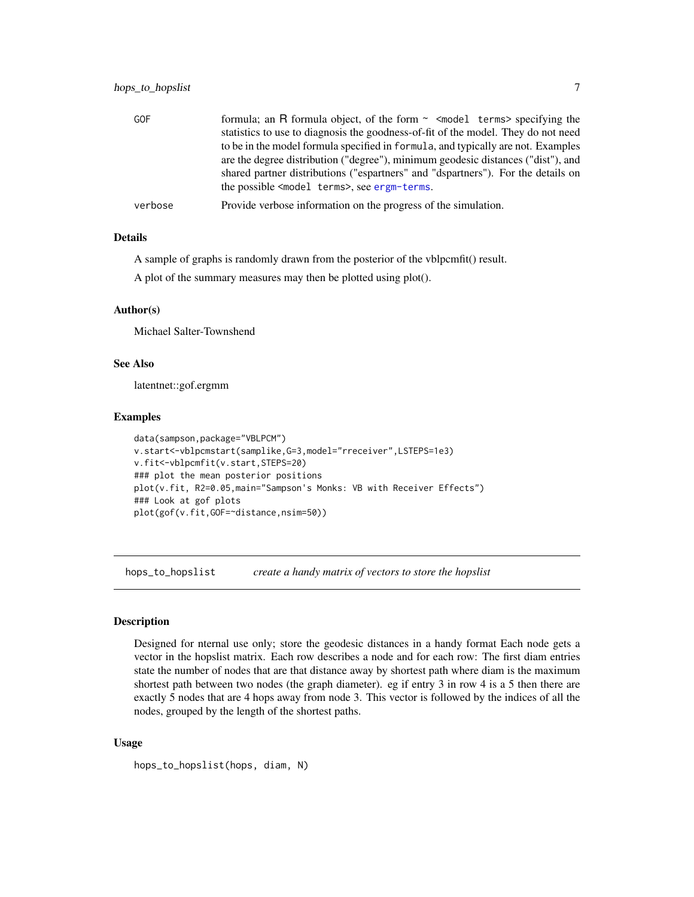<span id="page-6-0"></span>

| <b>GOF</b> | formula; an R formula object, of the form $\sim$ <model terms=""> specifying the</model> |
|------------|------------------------------------------------------------------------------------------|
|            | statistics to use to diagnosis the goodness-of-fit of the model. They do not need        |
|            | to be in the model formula specified in formula, and typically are not. Examples         |
|            | are the degree distribution ("degree"), minimum geodesic distances ("dist"), and         |
|            | shared partner distributions ("espartners" and "dspartners"). For the details on         |
|            | the possible <model terms="">, see ergm-terms.</model>                                   |
| verbose    | Provide verbose information on the progress of the simulation.                           |

# Details

A sample of graphs is randomly drawn from the posterior of the vblpcmfit() result.

A plot of the summary measures may then be plotted using plot().

#### Author(s)

Michael Salter-Townshend

# See Also

latentnet::gof.ergmm

#### Examples

```
data(sampson,package="VBLPCM")
v.start<-vblpcmstart(samplike,G=3,model="rreceiver",LSTEPS=1e3)
v.fit<-vblpcmfit(v.start,STEPS=20)
### plot the mean posterior positions
plot(v.fit, R2=0.05,main="Sampson's Monks: VB with Receiver Effects")
### Look at gof plots
plot(gof(v.fit,GOF=~distance,nsim=50))
```
hops\_to\_hopslist *create a handy matrix of vectors to store the hopslist*

#### Description

Designed for nternal use only; store the geodesic distances in a handy format Each node gets a vector in the hopslist matrix. Each row describes a node and for each row: The first diam entries state the number of nodes that are that distance away by shortest path where diam is the maximum shortest path between two nodes (the graph diameter). eg if entry 3 in row 4 is a 5 then there are exactly 5 nodes that are 4 hops away from node 3. This vector is followed by the indices of all the nodes, grouped by the length of the shortest paths.

#### Usage

hops\_to\_hopslist(hops, diam, N)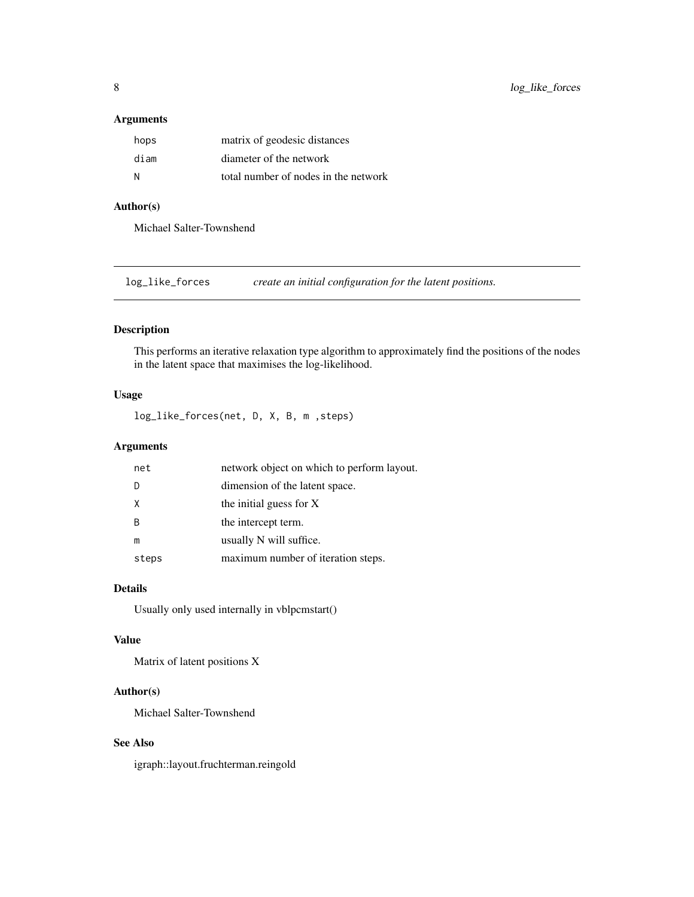# <span id="page-7-0"></span>Arguments

| hops | matrix of geodesic distances         |
|------|--------------------------------------|
| diam | diameter of the network              |
| N    | total number of nodes in the network |

# Author(s)

Michael Salter-Townshend

log\_like\_forces *create an initial configuration for the latent positions.*

# Description

This performs an iterative relaxation type algorithm to approximately find the positions of the nodes in the latent space that maximises the log-likelihood.

# Usage

log\_like\_forces(net, D, X, B, m ,steps)

# Arguments

| net      | network object on which to perform layout. |
|----------|--------------------------------------------|
|          | dimension of the latent space.             |
| $\times$ | the initial guess for X                    |
| -B       | the intercept term.                        |
| m        | usually N will suffice.                    |
| steps    | maximum number of iteration steps.         |

# Details

Usually only used internally in vblpcmstart()

#### Value

Matrix of latent positions X

# Author(s)

Michael Salter-Townshend

# See Also

igraph::layout.fruchterman.reingold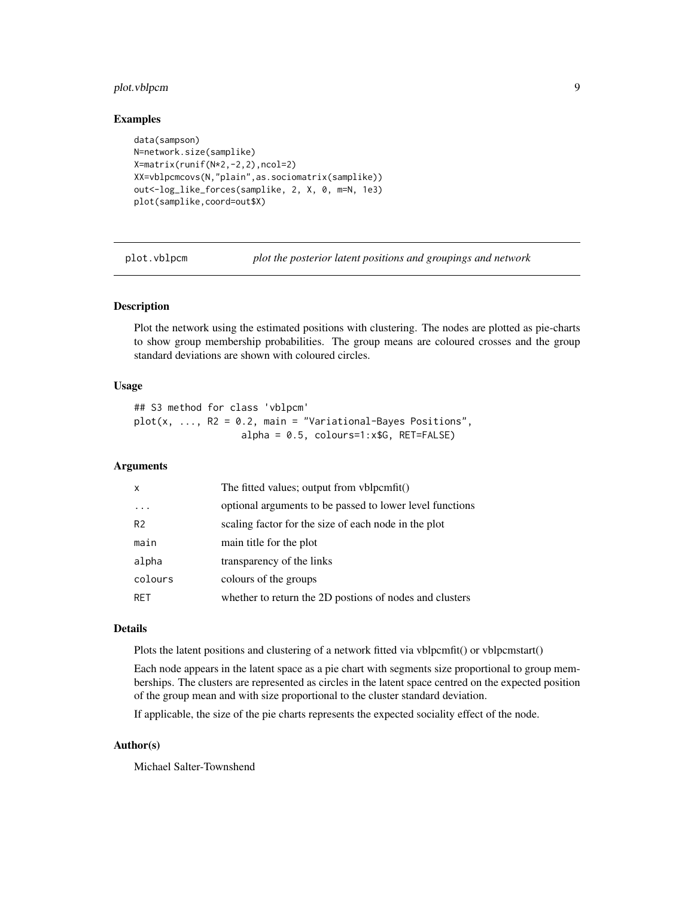# <span id="page-8-0"></span>plot.vblpcm 9

#### Examples

```
data(sampson)
N=network.size(samplike)
X=matrix(runif(N*2,-2,2),ncol=2)
XX=vblpcmcovs(N,"plain",as.sociomatrix(samplike))
out<-log_like_forces(samplike, 2, X, 0, m=N, 1e3)
plot(samplike,coord=out$X)
```
plot.vblpcm *plot the posterior latent positions and groupings and network*

# Description

Plot the network using the estimated positions with clustering. The nodes are plotted as pie-charts to show group membership probabilities. The group means are coloured crosses and the group standard deviations are shown with coloured circles.

# Usage

## S3 method for class 'vblpcm'  $plot(x, ..., R2 = 0.2, main = "Variational-Bayes Positions",$ alpha = 0.5, colours=1:x\$G, RET=FALSE)

# Arguments

| $\mathsf{x}$   | The fitted values; output from vblpcmfit()               |
|----------------|----------------------------------------------------------|
|                | optional arguments to be passed to lower level functions |
| R <sub>2</sub> | scaling factor for the size of each node in the plot     |
| main           | main title for the plot                                  |
| alpha          | transparency of the links                                |
| colours        | colours of the groups                                    |
| <b>RET</b>     | whether to return the 2D postions of nodes and clusters  |

#### Details

Plots the latent positions and clustering of a network fitted via vblpcmfit() or vblpcmstart()

Each node appears in the latent space as a pie chart with segments size proportional to group memberships. The clusters are represented as circles in the latent space centred on the expected position of the group mean and with size proportional to the cluster standard deviation.

If applicable, the size of the pie charts represents the expected sociality effect of the node.

# Author(s)

Michael Salter-Townshend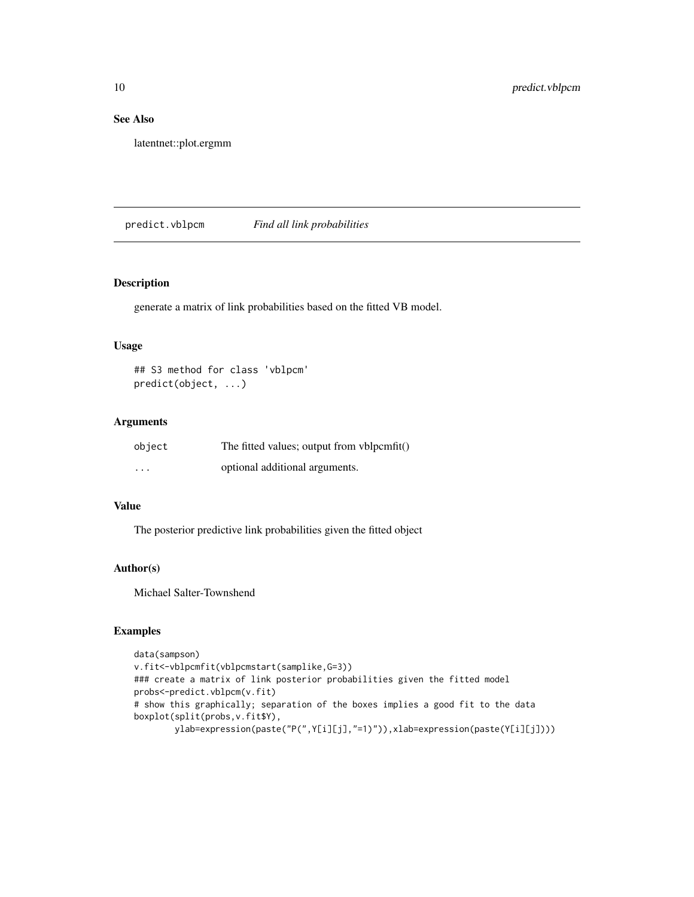# See Also

latentnet::plot.ergmm

predict.vblpcm *Find all link probabilities*

# Description

generate a matrix of link probabilities based on the fitted VB model.

# Usage

## S3 method for class 'vblpcm' predict(object, ...)

#### Arguments

| object   | The fitted values; output from vblpcmfit() |
|----------|--------------------------------------------|
| $\cdots$ | optional additional arguments.             |

# Value

The posterior predictive link probabilities given the fitted object

# Author(s)

Michael Salter-Townshend

# Examples

```
data(sampson)
v.fit<-vblpcmfit(vblpcmstart(samplike,G=3))
### create a matrix of link posterior probabilities given the fitted model
probs<-predict.vblpcm(v.fit)
# show this graphically; separation of the boxes implies a good fit to the data
boxplot(split(probs,v.fit$Y),
       ylab=expression(paste("P(",Y[i][j],"=1)")),xlab=expression(paste(Y[i][j])))
```
<span id="page-9-0"></span>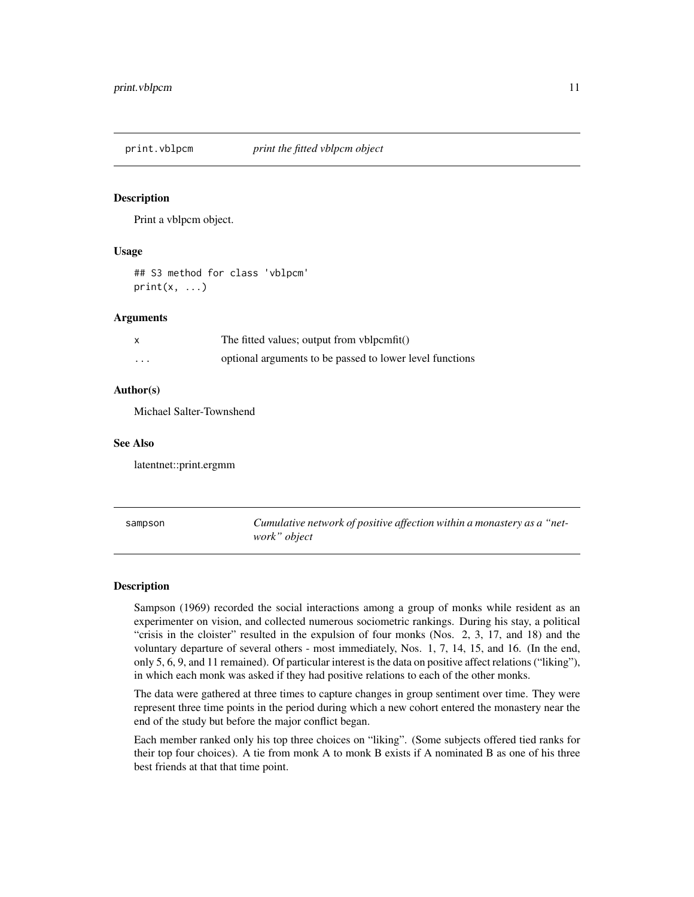<span id="page-10-0"></span>

#### **Description**

Print a vblpcm object.

#### Usage

## S3 method for class 'vblpcm'  $print(x, \ldots)$ 

#### Arguments

| X                       | The fitted values; output from vblpcmfit()               |
|-------------------------|----------------------------------------------------------|
| $\cdot$ $\cdot$ $\cdot$ | optional arguments to be passed to lower level functions |

#### Author(s)

Michael Salter-Townshend

# See Also

latentnet::print.ergmm

sampson *Cumulative network of positive affection within a monastery as a "network" object*

#### Description

Sampson (1969) recorded the social interactions among a group of monks while resident as an experimenter on vision, and collected numerous sociometric rankings. During his stay, a political "crisis in the cloister" resulted in the expulsion of four monks (Nos. 2, 3, 17, and 18) and the voluntary departure of several others - most immediately, Nos. 1, 7, 14, 15, and 16. (In the end, only 5, 6, 9, and 11 remained). Of particular interest is the data on positive affect relations ("liking"), in which each monk was asked if they had positive relations to each of the other monks.

The data were gathered at three times to capture changes in group sentiment over time. They were represent three time points in the period during which a new cohort entered the monastery near the end of the study but before the major conflict began.

Each member ranked only his top three choices on "liking". (Some subjects offered tied ranks for their top four choices). A tie from monk A to monk B exists if A nominated B as one of his three best friends at that that time point.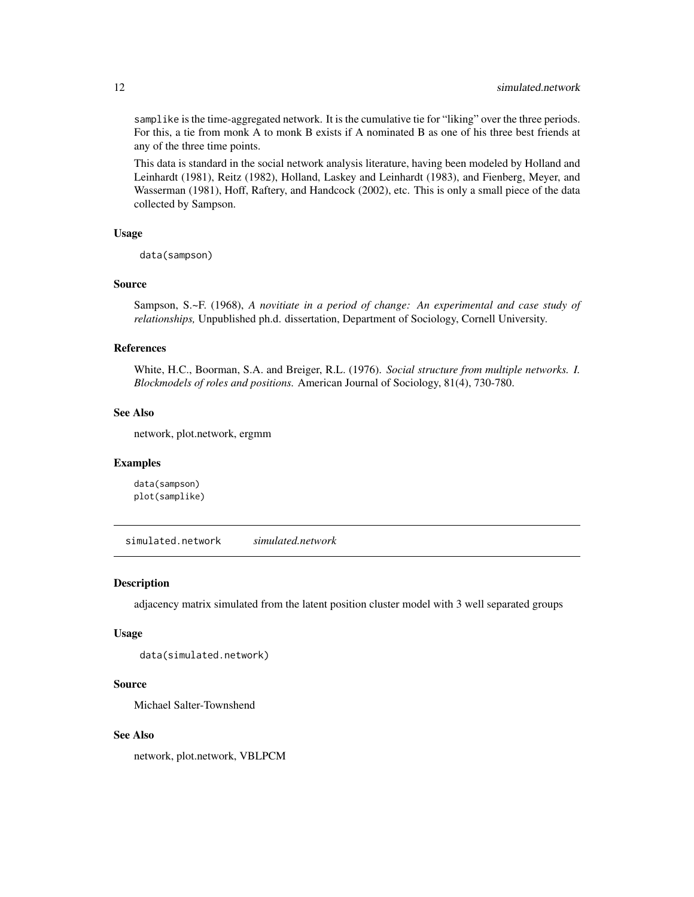samplike is the time-aggregated network. It is the cumulative tie for "liking" over the three periods. For this, a tie from monk A to monk B exists if A nominated B as one of his three best friends at any of the three time points.

This data is standard in the social network analysis literature, having been modeled by Holland and Leinhardt (1981), Reitz (1982), Holland, Laskey and Leinhardt (1983), and Fienberg, Meyer, and Wasserman (1981), Hoff, Raftery, and Handcock (2002), etc. This is only a small piece of the data collected by Sampson.

#### Usage

data(sampson)

#### Source

Sampson, S.~F. (1968), *A novitiate in a period of change: An experimental and case study of relationships,* Unpublished ph.d. dissertation, Department of Sociology, Cornell University.

#### References

White, H.C., Boorman, S.A. and Breiger, R.L. (1976). *Social structure from multiple networks. I. Blockmodels of roles and positions.* American Journal of Sociology, 81(4), 730-780.

#### See Also

network, plot.network, ergmm

#### Examples

data(sampson) plot(samplike)

simulated.network *simulated.network*

#### Description

adjacency matrix simulated from the latent position cluster model with 3 well separated groups

#### Usage

data(simulated.network)

#### Source

Michael Salter-Townshend

#### See Also

network, plot.network, VBLPCM

<span id="page-11-0"></span>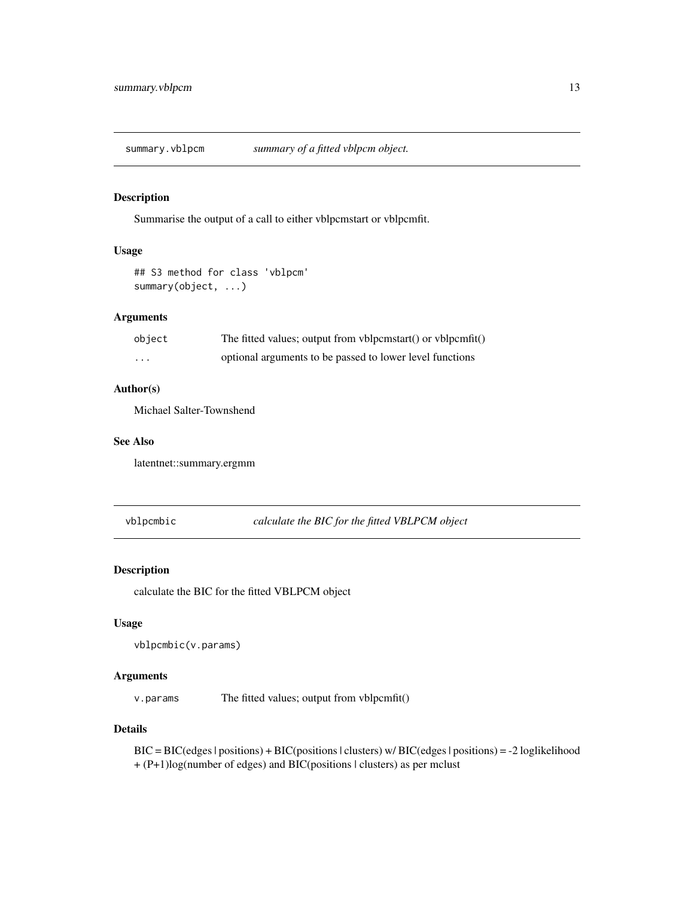<span id="page-12-0"></span>summary.vblpcm *summary of a fitted vblpcm object.*

#### Description

Summarise the output of a call to either vblpcmstart or vblpcmfit.

# Usage

```
## S3 method for class 'vblpcm'
summary(object, ...)
```
# Arguments

| object  | The fitted values; output from vblpcmstart() or vblpcmfit() |
|---------|-------------------------------------------------------------|
| $\cdot$ | optional arguments to be passed to lower level functions    |

#### Author(s)

Michael Salter-Townshend

## See Also

latentnet::summary.ergmm

vblpcmbic *calculate the BIC for the fitted VBLPCM object*

#### Description

calculate the BIC for the fitted VBLPCM object

# Usage

```
vblpcmbic(v.params)
```
# Arguments

v.params The fitted values; output from vblpcmfit()

# Details

BIC = BIC(edges | positions) + BIC(positions | clusters) w/ BIC(edges | positions) = -2 loglikelihood + (P+1)log(number of edges) and BIC(positions | clusters) as per mclust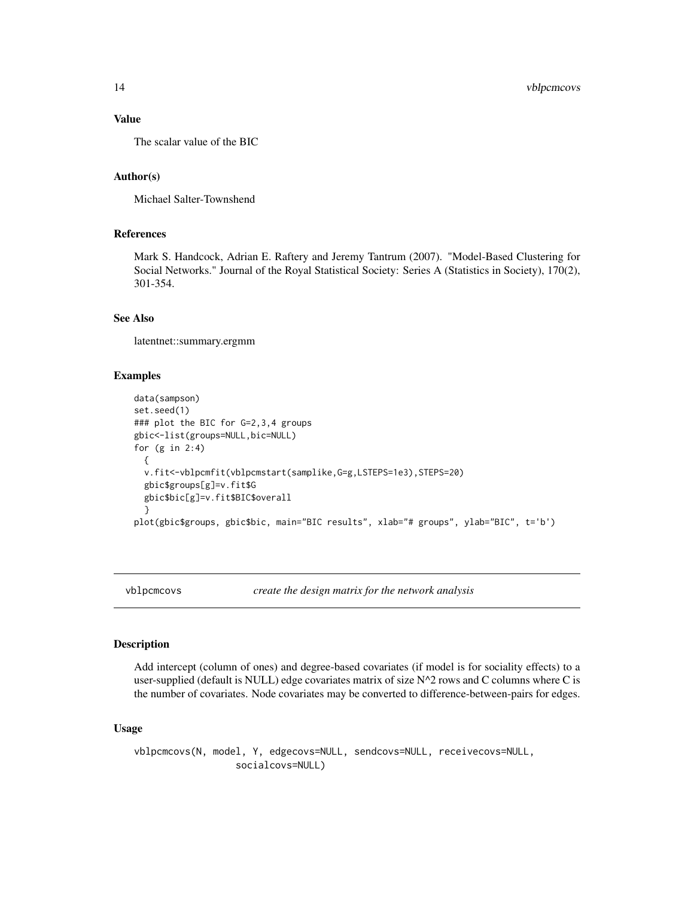# Value

The scalar value of the BIC

#### Author(s)

Michael Salter-Townshend

# References

Mark S. Handcock, Adrian E. Raftery and Jeremy Tantrum (2007). "Model-Based Clustering for Social Networks." Journal of the Royal Statistical Society: Series A (Statistics in Society), 170(2), 301-354.

# See Also

latentnet::summary.ergmm

#### Examples

```
data(sampson)
set.seed(1)
### plot the BIC for G=2,3,4 groups
gbic<-list(groups=NULL,bic=NULL)
for (g in 2:4)
 {
 v.fit<-vblpcmfit(vblpcmstart(samplike,G=g,LSTEPS=1e3),STEPS=20)
 gbic$groups[g]=v.fit$G
 gbic$bic[g]=v.fit$BIC$overall
 }
plot(gbic$groups, gbic$bic, main="BIC results", xlab="# groups", ylab="BIC", t='b')
```
vblpcmcovs *create the design matrix for the network analysis*

#### Description

Add intercept (column of ones) and degree-based covariates (if model is for sociality effects) to a user-supplied (default is NULL) edge covariates matrix of size  $N^2$  rows and C columns where C is the number of covariates. Node covariates may be converted to difference-between-pairs for edges.

#### Usage

vblpcmcovs(N, model, Y, edgecovs=NULL, sendcovs=NULL, receivecovs=NULL, socialcovs=NULL)

<span id="page-13-0"></span>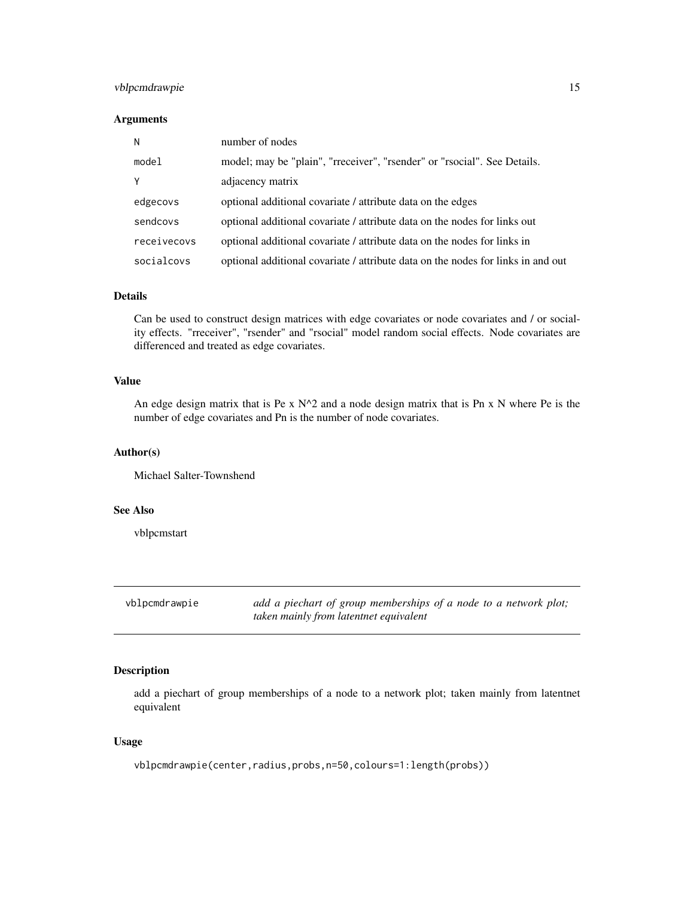# <span id="page-14-0"></span>vblpcmdrawpie 15

# Arguments

| N           | number of nodes                                                                  |
|-------------|----------------------------------------------------------------------------------|
| model       | model; may be "plain", "rreceiver", "rsender" or "rsocial". See Details.         |
| Y           | adjacency matrix                                                                 |
| edgecovs    | optional additional covariate / attribute data on the edges                      |
| sendcovs    | optional additional covariate / attribute data on the nodes for links out        |
| receivecovs | optional additional covariate / attribute data on the nodes for links in         |
| socialcovs  | optional additional covariate / attribute data on the nodes for links in and out |

# Details

Can be used to construct design matrices with edge covariates or node covariates and / or sociality effects. "rreceiver", "rsender" and "rsocial" model random social effects. Node covariates are differenced and treated as edge covariates.

# Value

An edge design matrix that is Pe x  $N^2$  and a node design matrix that is Pn x N where Pe is the number of edge covariates and Pn is the number of node covariates.

#### Author(s)

Michael Salter-Townshend

# See Also

vblpcmstart

vblpcmdrawpie *add a piechart of group memberships of a node to a network plot; taken mainly from latentnet equivalent*

#### Description

add a piechart of group memberships of a node to a network plot; taken mainly from latentnet equivalent

# Usage

vblpcmdrawpie(center,radius,probs,n=50,colours=1:length(probs))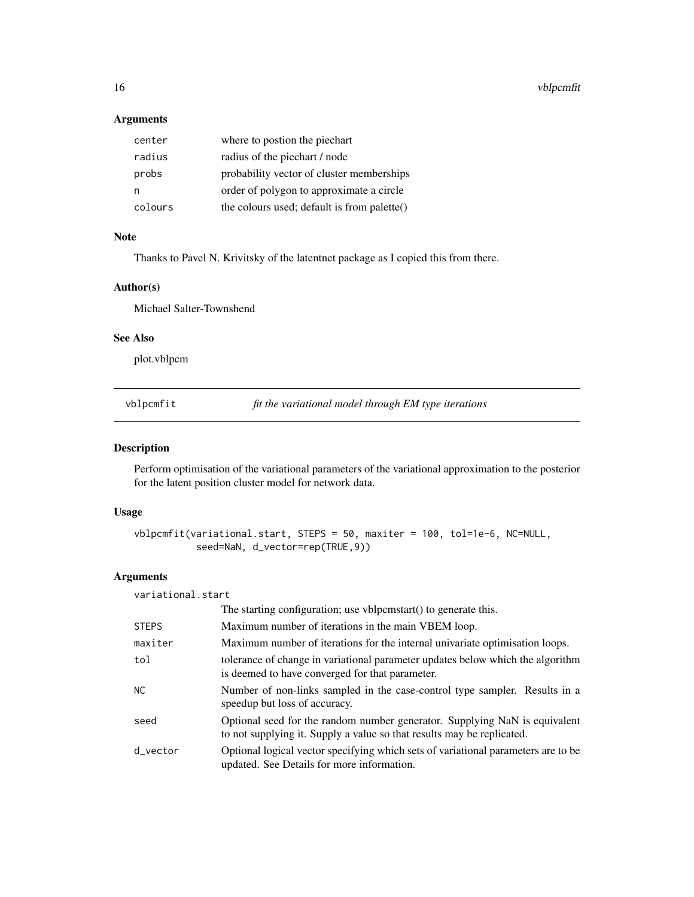<span id="page-15-0"></span>16 vblpcmfit

# Arguments

| center  | where to postion the piechart               |
|---------|---------------------------------------------|
| radius  | radius of the piechart / node               |
| probs   | probability vector of cluster memberships   |
| n       | order of polygon to approximate a circle    |
| colours | the colours used; default is from palette() |

# Note

Thanks to Pavel N. Krivitsky of the latentnet package as I copied this from there.

#### Author(s)

Michael Salter-Townshend

#### See Also

plot.vblpcm

<span id="page-15-1"></span>vblpcmfit *fit the variational model through EM type iterations*

# Description

Perform optimisation of the variational parameters of the variational approximation to the posterior for the latent position cluster model for network data.

# Usage

```
vblpcmfit(variational.start, STEPS = 50, maxiter = 100, tol=1e-6, NC=NULL,
           seed=NaN, d_vector=rep(TRUE,9))
```

| variational.start |                                                                                                                                                      |
|-------------------|------------------------------------------------------------------------------------------------------------------------------------------------------|
|                   | The starting configuration; use vblpcmstart () to generate this.                                                                                     |
| <b>STEPS</b>      | Maximum number of iterations in the main VBEM loop.                                                                                                  |
| maxiter           | Maximum number of iterations for the internal univariate optimisation loops.                                                                         |
| tol               | tolerance of change in variational parameter updates below which the algorithm<br>is deemed to have converged for that parameter.                    |
| NC.               | Number of non-links sampled in the case-control type sampler. Results in a<br>speedup but loss of accuracy.                                          |
| seed              | Optional seed for the random number generator. Supplying NaN is equivalent<br>to not supplying it. Supply a value so that results may be replicated. |
| d vector          | Optional logical vector specifying which sets of variational parameters are to be<br>updated. See Details for more information.                      |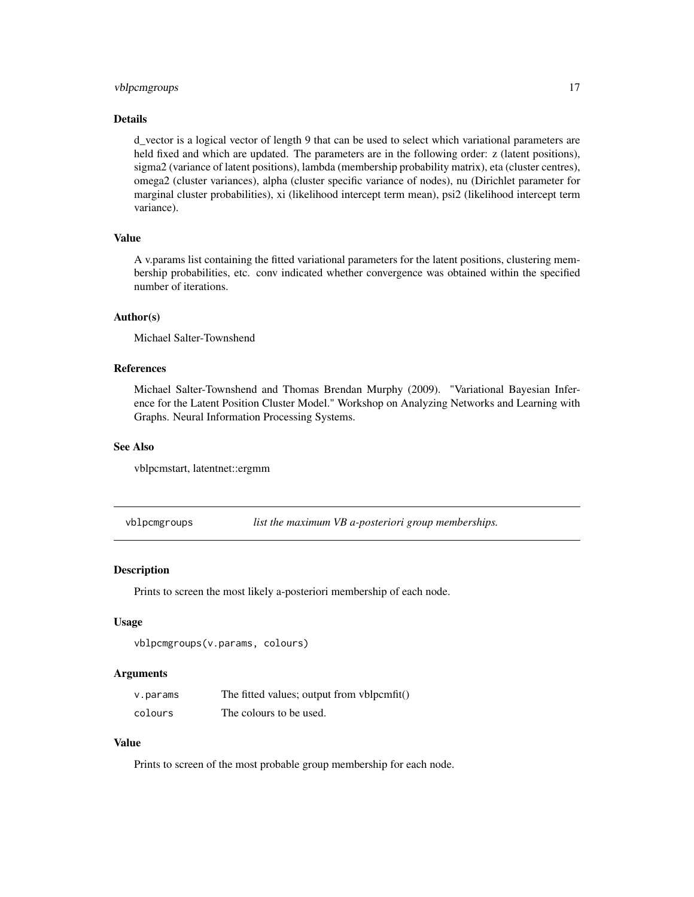# <span id="page-16-0"></span>vblpcmgroups 17

## Details

d vector is a logical vector of length 9 that can be used to select which variational parameters are held fixed and which are updated. The parameters are in the following order: z (latent positions), sigma2 (variance of latent positions), lambda (membership probability matrix), eta (cluster centres), omega2 (cluster variances), alpha (cluster specific variance of nodes), nu (Dirichlet parameter for marginal cluster probabilities), xi (likelihood intercept term mean), psi2 (likelihood intercept term variance).

# Value

A v.params list containing the fitted variational parameters for the latent positions, clustering membership probabilities, etc. conv indicated whether convergence was obtained within the specified number of iterations.

#### Author(s)

Michael Salter-Townshend

# References

Michael Salter-Townshend and Thomas Brendan Murphy (2009). "Variational Bayesian Inference for the Latent Position Cluster Model." Workshop on Analyzing Networks and Learning with Graphs. Neural Information Processing Systems.

## See Also

vblpcmstart, latentnet::ergmm

vblpcmgroups *list the maximum VB a-posteriori group memberships.*

#### Description

Prints to screen the most likely a-posteriori membership of each node.

# Usage

```
vblpcmgroups(v.params, colours)
```
#### Arguments

| v.params | The fitted values; output from vblpcmfit() |
|----------|--------------------------------------------|
| colours  | The colours to be used.                    |

# Value

Prints to screen of the most probable group membership for each node.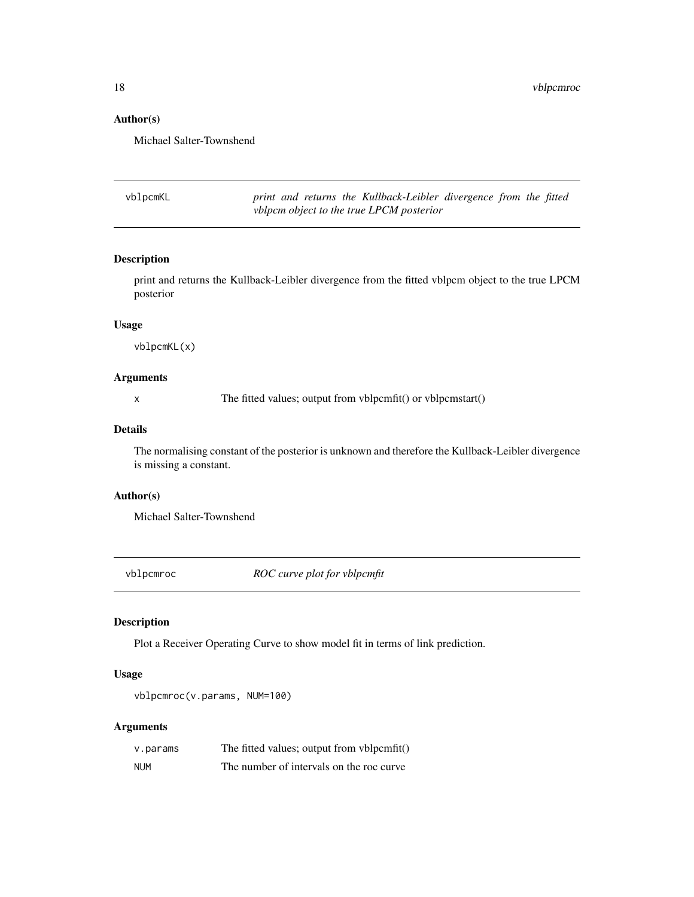# Author(s)

Michael Salter-Townshend

vblpcmKL *print and returns the Kullback-Leibler divergence from the fitted vblpcm object to the true LPCM posterior*

# Description

print and returns the Kullback-Leibler divergence from the fitted vblpcm object to the true LPCM posterior

# Usage

vblpcmKL(x)

#### Arguments

x The fitted values; output from vblpcmfit() or vblpcmstart()

# Details

The normalising constant of the posterior is unknown and therefore the Kullback-Leibler divergence is missing a constant.

#### Author(s)

Michael Salter-Townshend

vblpcmroc *ROC curve plot for vblpcmfit*

# Description

Plot a Receiver Operating Curve to show model fit in terms of link prediction.

# Usage

vblpcmroc(v.params, NUM=100)

| v.params   | The fitted values; output from vblpcmfit() |
|------------|--------------------------------------------|
| <b>NUM</b> | The number of intervals on the roc curve   |

<span id="page-17-0"></span>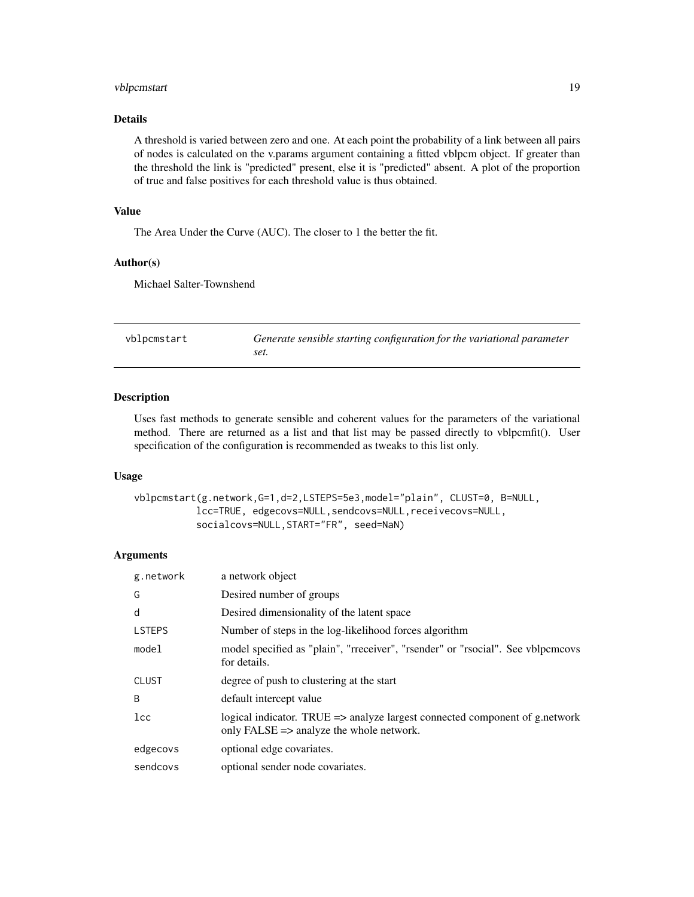# <span id="page-18-0"></span>vblpcmstart 19

# Details

A threshold is varied between zero and one. At each point the probability of a link between all pairs of nodes is calculated on the v.params argument containing a fitted vblpcm object. If greater than the threshold the link is "predicted" present, else it is "predicted" absent. A plot of the proportion of true and false positives for each threshold value is thus obtained.

# Value

The Area Under the Curve (AUC). The closer to 1 the better the fit.

#### Author(s)

Michael Salter-Townshend

<span id="page-18-1"></span>

| vblpcmstart | Generate sensible starting configuration for the variational parameter |
|-------------|------------------------------------------------------------------------|
|             | set.                                                                   |

#### Description

Uses fast methods to generate sensible and coherent values for the parameters of the variational method. There are returned as a list and that list may be passed directly to vblpcmfit(). User specification of the configuration is recommended as tweaks to this list only.

#### Usage

```
vblpcmstart(g.network,G=1,d=2,LSTEPS=5e3,model="plain", CLUST=0, B=NULL,
           lcc=TRUE, edgecovs=NULL,sendcovs=NULL,receivecovs=NULL,
           socialcovs=NULL,START="FR", seed=NaN)
```

| g.network     | a network object                                                                                                        |
|---------------|-------------------------------------------------------------------------------------------------------------------------|
| G             | Desired number of groups                                                                                                |
| d             | Desired dimensionality of the latent space                                                                              |
| <b>LSTEPS</b> | Number of steps in the log-likelihood forces algorithm                                                                  |
| model         | model specified as "plain", "rreceiver", "rsender" or "rsocial". See vblpcmcovs<br>for details.                         |
| <b>CLUST</b>  | degree of push to clustering at the start                                                                               |
| <sub>B</sub>  | default intercept value                                                                                                 |
| lcc           | logical indicator. TRUE => analyze largest connected component of g.network<br>only FALSE => analyze the whole network. |
| edgecovs      | optional edge covariates.                                                                                               |
| sendcovs      | optional sender node covariates.                                                                                        |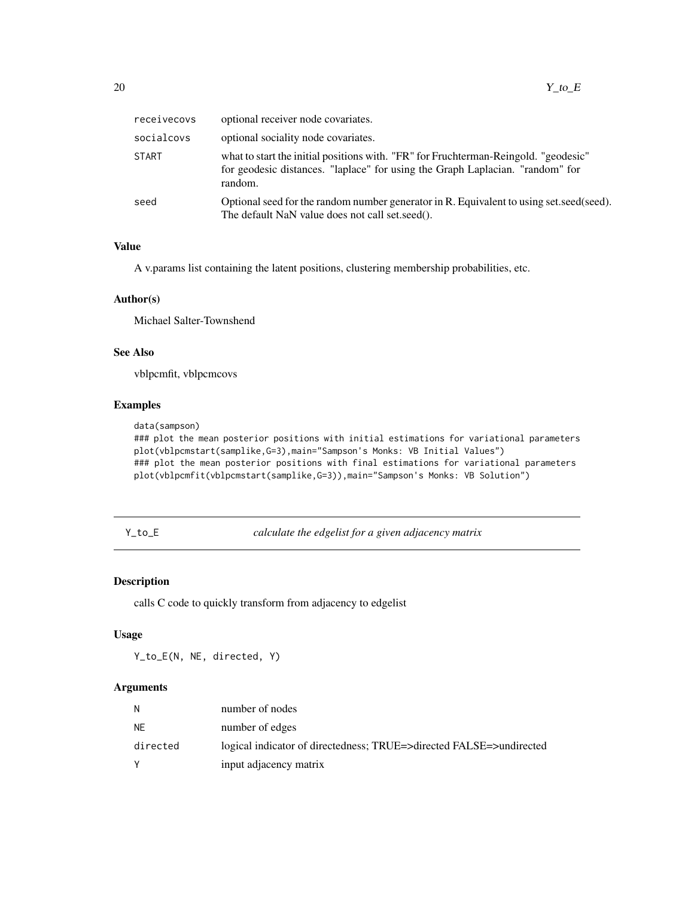<span id="page-19-0"></span>

| receivecovs  | optional receiver node covariates.                                                                                                                                              |
|--------------|---------------------------------------------------------------------------------------------------------------------------------------------------------------------------------|
| socialcovs   | optional sociality node covariates.                                                                                                                                             |
| <b>START</b> | what to start the initial positions with. "FR" for Fruchterman-Reingold. "geodesic"<br>for geodesic distances. "laplace" for using the Graph Laplacian. "random" for<br>random. |
| seed         | Optional seed for the random number generator in R. Equivalent to using set, seed(seed).<br>The default NaN value does not call set.seed().                                     |

# Value

A v.params list containing the latent positions, clustering membership probabilities, etc.

# Author(s)

Michael Salter-Townshend

# See Also

vblpcmfit, vblpcmcovs

# Examples

```
data(sampson)
```

```
### plot the mean posterior positions with initial estimations for variational parameters
plot(vblpcmstart(samplike,G=3),main="Sampson's Monks: VB Initial Values")
### plot the mean posterior positions with final estimations for variational parameters
plot(vblpcmfit(vblpcmstart(samplike,G=3)),main="Sampson's Monks: VB Solution")
```
Y\_to\_E *calculate the edgelist for a given adjacency matrix*

#### Description

calls C code to quickly transform from adjacency to edgelist

# Usage

Y\_to\_E(N, NE, directed, Y)

| N        | number of nodes                                                     |
|----------|---------------------------------------------------------------------|
| NE.      | number of edges                                                     |
| directed | logical indicator of directedness; TRUE=>directed FALSE=>undirected |
|          | input adjacency matrix                                              |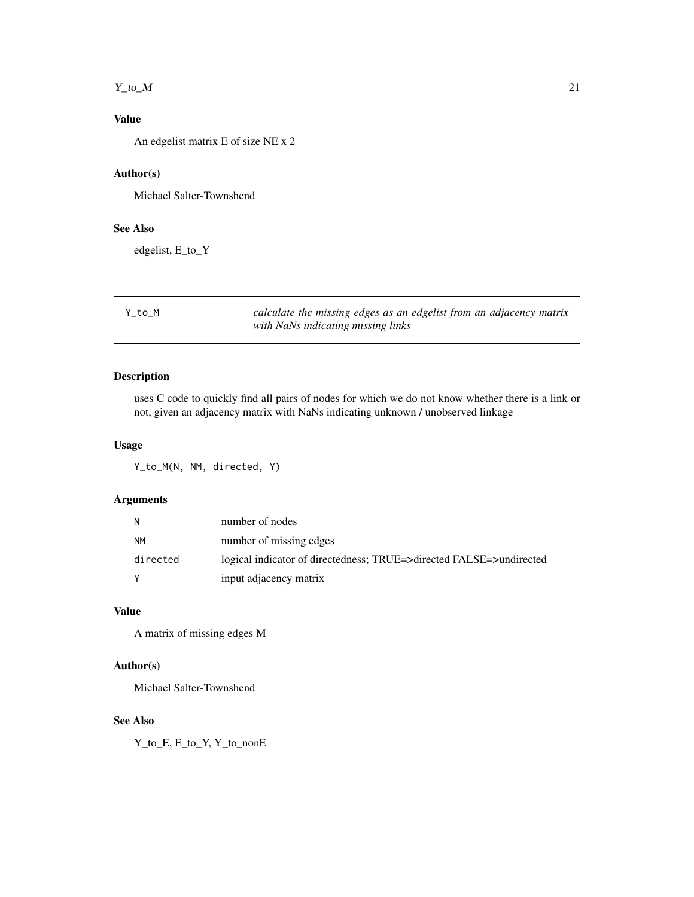#### <span id="page-20-0"></span> $Y_{\text{tot}}$  and  $Y_{\text{tot}}$  and  $Y_{\text{tot}}$  and  $Y_{\text{tot}}$  and  $Y_{\text{tot}}$  and  $Y_{\text{tot}}$  and  $Y_{\text{tot}}$  and  $Y_{\text{tot}}$  and  $Y_{\text{tot}}$  and  $Y_{\text{tot}}$  and  $Y_{\text{tot}}$  and  $Y_{\text{tot}}$  and  $Y_{\text{tot}}$  and  $Y_{\text{tot}}$  and  $Y_{\text{tot}}$  and  $Y_{\text{tot}}$  a

# Value

An edgelist matrix E of size NE x 2

# Author(s)

Michael Salter-Townshend

# See Also

edgelist, E\_to\_Y

Y\_to\_M *calculate the missing edges as an edgelist from an adjacency matrix with NaNs indicating missing links*

# Description

uses C code to quickly find all pairs of nodes for which we do not know whether there is a link or not, given an adjacency matrix with NaNs indicating unknown / unobserved linkage

#### Usage

Y\_to\_M(N, NM, directed, Y)

# Arguments

| N         | number of nodes                                                     |
|-----------|---------------------------------------------------------------------|
| <b>NM</b> | number of missing edges                                             |
| directed  | logical indicator of directedness; TRUE=>directed FALSE=>undirected |
|           | input adjacency matrix                                              |

# Value

A matrix of missing edges M

# Author(s)

Michael Salter-Townshend

# See Also

Y\_to\_E, E\_to\_Y, Y\_to\_nonE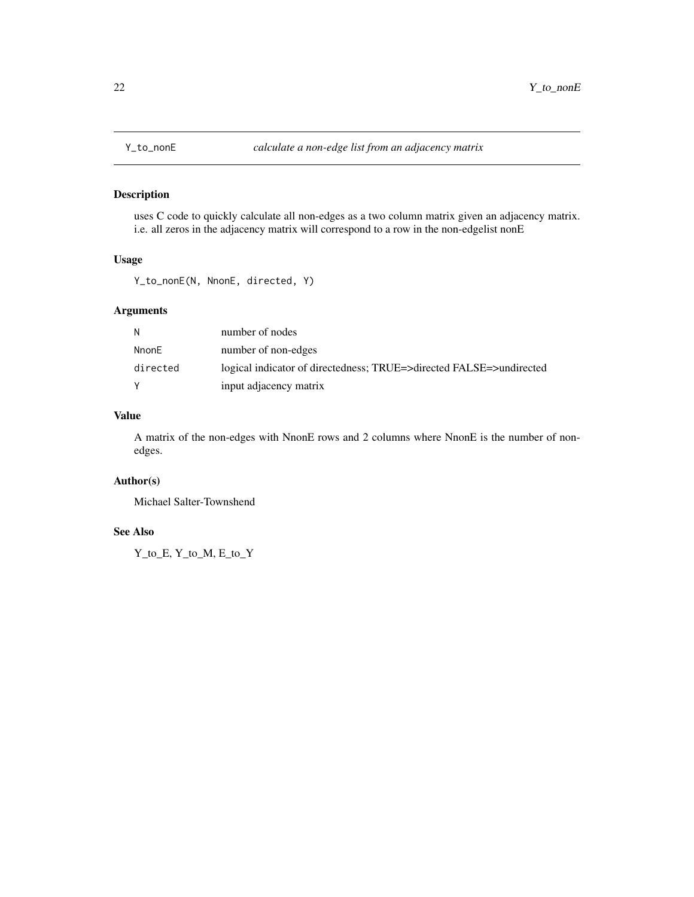<span id="page-21-0"></span>

# Description

uses C code to quickly calculate all non-edges as a two column matrix given an adjacency matrix. i.e. all zeros in the adjacency matrix will correspond to a row in the non-edgelist nonE

#### Usage

Y\_to\_nonE(N, NnonE, directed, Y)

# Arguments

| N        | number of nodes                                                     |
|----------|---------------------------------------------------------------------|
| NnonE    | number of non-edges                                                 |
| directed | logical indicator of directedness; TRUE=>directed FALSE=>undirected |
| Y        | input adjacency matrix                                              |

# Value

A matrix of the non-edges with NnonE rows and 2 columns where NnonE is the number of nonedges.

# Author(s)

Michael Salter-Townshend

## See Also

Y\_to\_E, Y\_to\_M, E\_to\_Y